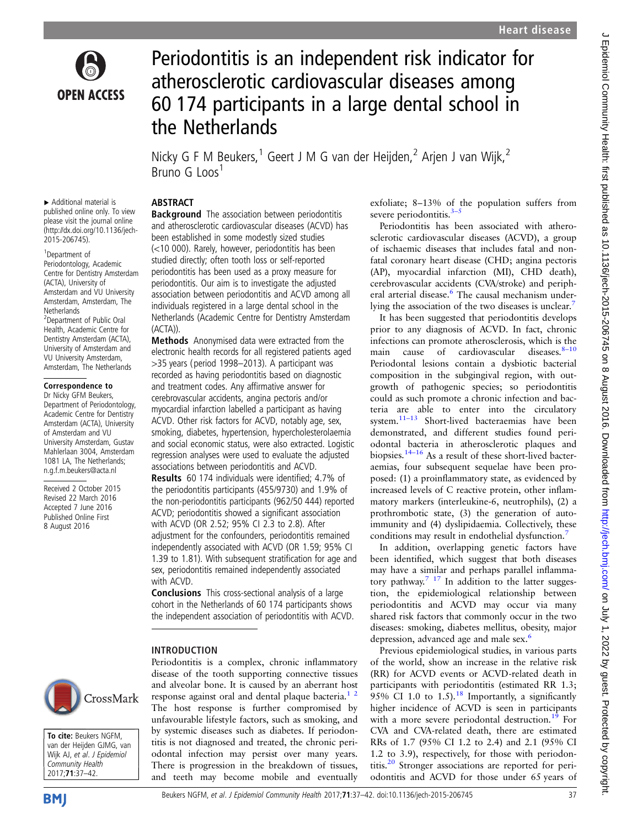

# Periodontitis is an independent risk indicator for atherosclerotic cardiovascular diseases among 60 174 participants in a large dental school in the Netherlands

Nicky G F M Beukers,<sup>1</sup> Geert J M G van der Heijden,<sup>2</sup> Arjen J van Wijk,<sup>2</sup>  $Bruno G$  Loos<sup>1</sup>

# ABSTRACT

▸ Additional material is published online only. To view please visit the journal online [\(http://dx.doi.org/10.1136/jech-](http://dx.doi.org/10.1136/jech-2015-206745)[2015-206745\)](http://dx.doi.org/10.1136/jech-2015-206745).

1 Department of Periodontology, Academic Centre for Dentistry Amsterdam (ACTA), University of Amsterdam and VU University Amsterdam, Amsterdam, The **Netherlands** 2 Department of Public Oral Health, Academic Centre for Dentistry Amsterdam (ACTA), University of Amsterdam and VU University Amsterdam, Amsterdam, The Netherlands

#### Correspondence to

Dr Nicky GFM Beukers, Department of Periodontology, Academic Centre for Dentistry Amsterdam (ACTA), University of Amsterdam and VU University Amsterdam, Gustav Mahlerlaan 3004, Amsterdam 1081 LA, The Netherlands; n.g.f.m.beukers@acta.nl

Received 2 October 2015 Revised 22 March 2016 Accepted 7 June 2016 Published Online First 8 August 2016



Methods Anonymised data were extracted from the electronic health records for all registered patients aged >35 years (period 1998–2013). A participant was recorded as having periodontitis based on diagnostic and treatment codes. Any affirmative answer for cerebrovascular accidents, angina pectoris and/or myocardial infarction labelled a participant as having ACVD. Other risk factors for ACVD, notably age, sex, smoking, diabetes, hypertension, hypercholesterolaemia and social economic status, were also extracted. Logistic regression analyses were used to evaluate the adjusted associations between periodontitis and ACVD.

Results 60 174 individuals were identified; 4.7% of the periodontitis participants (455/9730) and 1.9% of the non-periodontitis participants (962/50 444) reported ACVD; periodontitis showed a significant association with ACVD (OR 2.52; 95% CI 2.3 to 2.8). After adjustment for the confounders, periodontitis remained independently associated with ACVD (OR 1.59; 95% CI 1.39 to 1.81). With subsequent stratification for age and sex, periodontitis remained independently associated with ACVD.

Conclusions This cross-sectional analysis of a large cohort in the Netherlands of 60 174 participants shows the independent association of periodontitis with ACVD.

#### INTRODUCTION

Periodontitis is a complex, chronic inflammatory disease of the tooth supporting connective tissues and alveolar bone. It is caused by an aberrant host response against oral and dental plaque bacteria. $1/2$ The host response is further compromised by unfavourable lifestyle factors, such as smoking, and by systemic diseases such as diabetes. If periodontitis is not diagnosed and treated, the chronic periodontal infection may persist over many years. There is progression in the breakdown of tissues, and teeth may become mobile and eventually

exfoliate; 8–13% of the population suffers from severe periodontitis.<sup>[3](#page-5-0)–5</sup>

Periodontitis has been associated with atherosclerotic cardiovascular diseases (ACVD), a group of ischaemic diseases that includes fatal and nonfatal coronary heart disease (CHD; angina pectoris (AP), myocardial infarction (MI), CHD death), cerebrovascular accidents (CVA/stroke) and peripheral arterial disease.<sup>6</sup> The causal mechanism under-lying the association of the two diseases is unclear.<sup>[7](#page-5-0)</sup>

It has been suggested that periodontitis develops prior to any diagnosis of ACVD. In fact, chronic infections can promote atherosclerosis, which is the main cause of cardiovascular diseases. $8-10$  $8-10$ Periodontal lesions contain a dysbiotic bacterial composition in the subgingival region, with outgrowth of pathogenic species; so periodontitis could as such promote a chronic infection and bacteria are able to enter into the circulatory system.11–[13](#page-5-0) Short-lived bacteraemias have been demonstrated, and different studies found periodontal bacteria in atherosclerotic plaques and biopsies.<sup>[14](#page-5-0)–16</sup> As a result of these short-lived bacteraemias, four subsequent sequelae have been proposed: (1) a proinflammatory state, as evidenced by increased levels of C reactive protein, other inflammatory markers (interleukine-6, neutrophils), (2) a prothrombotic state, (3) the generation of autoimmunity and (4) dyslipidaemia. Collectively, these conditions may result in endothelial dysfunction.<sup>[7](#page-5-0)</sup>

In addition, overlapping genetic factors have been identified, which suggest that both diseases may have a similar and perhaps parallel inflamma-tory pathway.<sup>[7 17](#page-5-0)</sup> In addition to the latter suggestion, the epidemiological relationship between periodontitis and ACVD may occur via many shared risk factors that commonly occur in the two diseases: smoking, diabetes mellitus, obesity, major depression, advanced age and male sex.<sup>6</sup>

Previous epidemiological studies, in various parts of the world, show an increase in the relative risk (RR) for ACVD events or ACVD-related death in participants with periodontitis (estimated RR 1.3; 95% CI 1.0 to 1.5).<sup>[18](#page-5-0)</sup> Importantly, a significantly higher incidence of ACVD is seen in participants with a more severe periodontal destruction.<sup>[19](#page-5-0)</sup> For CVA and CVA-related death, there are estimated RRs of 1.7 (95% CI 1.2 to 2.4) and 2.1 (95% CI 1.2 to 3.9), respectively, for those with periodon-titis.<sup>[20](#page-5-0)</sup> Stronger associations are reported for periodontitis and ACVD for those under 65 years of



To cite: Beukers NGFM, van der Heijden GJMG, van Wijk AJ, et al. J Epidemiol Community Health 2017;71:37–42.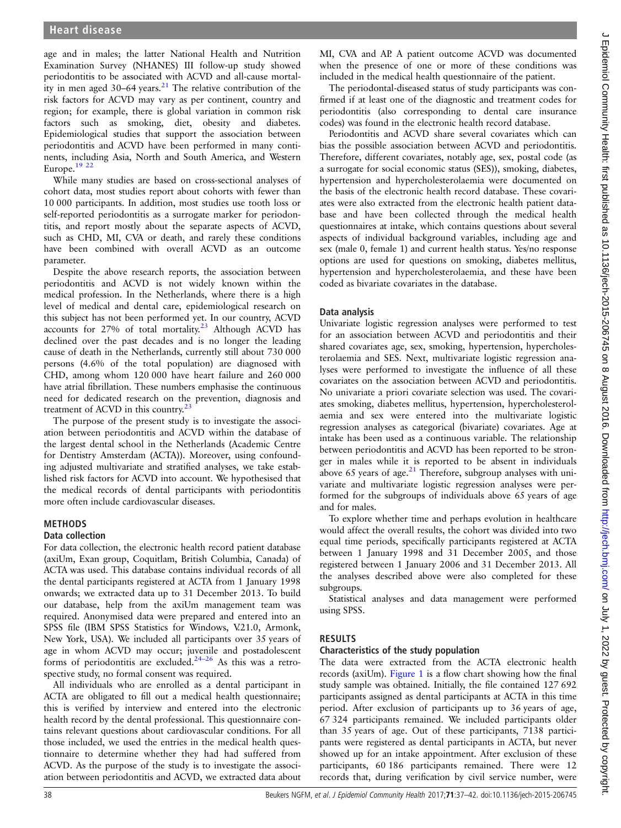age and in males; the latter National Health and Nutrition Examination Survey (NHANES) III follow-up study showed periodontitis to be associated with ACVD and all-cause mortality in men aged  $30-64$  years.<sup>[21](#page-5-0)</sup> The relative contribution of the risk factors for ACVD may vary as per continent, country and region; for example, there is global variation in common risk factors such as smoking, diet, obesity and diabetes. Epidemiological studies that support the association between periodontitis and ACVD have been performed in many continents, including Asia, North and South America, and Western Europe.[19 22](#page-5-0)

While many studies are based on cross-sectional analyses of cohort data, most studies report about cohorts with fewer than 10 000 participants. In addition, most studies use tooth loss or self-reported periodontitis as a surrogate marker for periodontitis, and report mostly about the separate aspects of ACVD, such as CHD, MI, CVA or death, and rarely these conditions have been combined with overall ACVD as an outcome parameter.

Despite the above research reports, the association between periodontitis and ACVD is not widely known within the medical profession. In the Netherlands, where there is a high level of medical and dental care, epidemiological research on this subject has not been performed yet. In our country, ACVD accounts for 27% of total mortality.<sup>[23](#page-5-0)</sup> Although ACVD has declined over the past decades and is no longer the leading cause of death in the Netherlands, currently still about 730 000 persons (4.6% of the total population) are diagnosed with CHD, among whom 120 000 have heart failure and 260 000 have atrial fibrillation. These numbers emphasise the continuous need for dedicated research on the prevention, diagnosis and treatment of ACVD in this country. $23$ 

The purpose of the present study is to investigate the association between periodontitis and ACVD within the database of the largest dental school in the Netherlands (Academic Centre for Dentistry Amsterdam (ACTA)). Moreover, using confounding adjusted multivariate and stratified analyses, we take established risk factors for ACVD into account. We hypothesised that the medical records of dental participants with periodontitis more often include cardiovascular diseases.

# METHODS

#### Data collection

For data collection, the electronic health record patient database (axiUm, Exan group, Coquitlam, British Columbia, Canada) of ACTA was used. This database contains individual records of all the dental participants registered at ACTA from 1 January 1998 onwards; we extracted data up to 31 December 2013. To build our database, help from the axiUm management team was required. Anonymised data were prepared and entered into an SPSS file (IBM SPSS Statistics for Windows, V.21.0, Armonk, New York, USA). We included all participants over 35 years of age in whom ACVD may occur; juvenile and postadolescent forms of periodontitis are excluded. $24-26$  As this was a retrospective study, no formal consent was required.

All individuals who are enrolled as a dental participant in ACTA are obligated to fill out a medical health questionnaire; this is verified by interview and entered into the electronic health record by the dental professional. This questionnaire contains relevant questions about cardiovascular conditions. For all those included, we used the entries in the medical health questionnaire to determine whether they had had suffered from ACVD. As the purpose of the study is to investigate the association between periodontitis and ACVD, we extracted data about

MI, CVA and AP. A patient outcome ACVD was documented when the presence of one or more of these conditions was included in the medical health questionnaire of the patient.

The periodontal-diseased status of study participants was confirmed if at least one of the diagnostic and treatment codes for periodontitis (also corresponding to dental care insurance codes) was found in the electronic health record database.

Periodontitis and ACVD share several covariates which can bias the possible association between ACVD and periodontitis. Therefore, different covariates, notably age, sex, postal code (as a surrogate for social economic status (SES)), smoking, diabetes, hypertension and hypercholesterolaemia were documented on the basis of the electronic health record database. These covariates were also extracted from the electronic health patient database and have been collected through the medical health questionnaires at intake, which contains questions about several aspects of individual background variables, including age and sex (male 0, female 1) and current health status. Yes/no response options are used for questions on smoking, diabetes mellitus, hypertension and hypercholesterolaemia, and these have been coded as bivariate covariates in the database.

## Data analysis

Univariate logistic regression analyses were performed to test for an association between ACVD and periodontitis and their shared covariates age, sex, smoking, hypertension, hypercholesterolaemia and SES. Next, multivariate logistic regression analyses were performed to investigate the influence of all these covariates on the association between ACVD and periodontitis. No univariate a priori covariate selection was used. The covariates smoking, diabetes mellitus, hypertension, hypercholesterolaemia and sex were entered into the multivariate logistic regression analyses as categorical (bivariate) covariates. Age at intake has been used as a continuous variable. The relationship between periodontitis and ACVD has been reported to be stronger in males while it is reported to be absent in individuals above 65 years of age. $^{21}$  $^{21}$  $^{21}$  Therefore, subgroup analyses with univariate and multivariate logistic regression analyses were performed for the subgroups of individuals above 65 years of age and for males.

To explore whether time and perhaps evolution in healthcare would affect the overall results, the cohort was divided into two equal time periods, specifically participants registered at ACTA between 1 January 1998 and 31 December 2005, and those registered between 1 January 2006 and 31 December 2013. All the analyses described above were also completed for these subgroups.

Statistical analyses and data management were performed using SPSS.

# RESULTS

#### Characteristics of the study population

The data were extracted from the ACTA electronic health records (axiUm). [Figure 1](#page-2-0) is a flow chart showing how the final study sample was obtained. Initially, the file contained 127 692 participants assigned as dental participants at ACTA in this time period. After exclusion of participants up to 36 years of age, 67 324 participants remained. We included participants older than 35 years of age. Out of these participants, 7138 participants were registered as dental participants in ACTA, but never showed up for an intake appointment. After exclusion of these participants, 60 186 participants remained. There were 12 records that, during verification by civil service number, were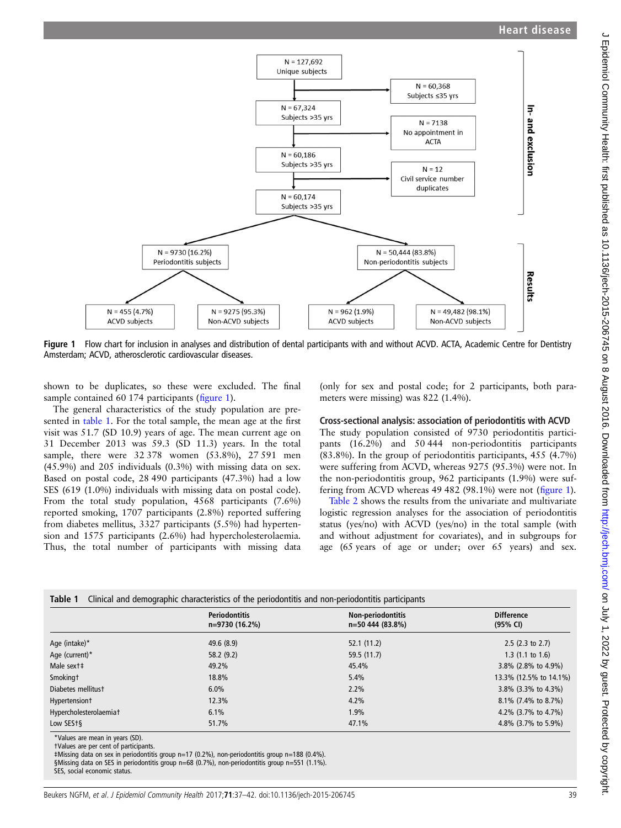<span id="page-2-0"></span>

Figure 1 Flow chart for inclusion in analyses and distribution of dental participants with and without ACVD. ACTA, Academic Centre for Dentistry Amsterdam; ACVD, atherosclerotic cardiovascular diseases.

shown to be duplicates, so these were excluded. The final sample contained 60 174 participants (figure 1).

The general characteristics of the study population are presented in table 1. For the total sample, the mean age at the first visit was 51.7 (SD 10.9) years of age. The mean current age on 31 December 2013 was 59.3 (SD 11.3) years. In the total sample, there were 32 378 women (53.8%), 27 591 men (45.9%) and 205 individuals (0.3%) with missing data on sex. Based on postal code, 28 490 participants (47.3%) had a low SES (619 (1.0%) individuals with missing data on postal code). From the total study population, 4568 participants (7.6%) reported smoking, 1707 participants (2.8%) reported suffering from diabetes mellitus, 3327 participants (5.5%) had hypertension and 1575 participants (2.6%) had hypercholesterolaemia. Thus, the total number of participants with missing data

(only for sex and postal code; for 2 participants, both parameters were missing) was 822 (1.4%).

## Cross-sectional analysis: association of periodontitis with ACVD

The study population consisted of 9730 periodontitis participants (16.2%) and 50 444 non-periodontitis participants (83.8%). In the group of periodontitis participants, 455 (4.7%) were suffering from ACVD, whereas 9275 (95.3%) were not. In the non-periodontitis group, 962 participants (1.9%) were suffering from ACVD whereas 49 482 (98.1%) were not (figure 1).

[Table 2](#page-3-0) shows the results from the univariate and multivariate logistic regression analyses for the association of periodontitis status (yes/no) with ACVD (yes/no) in the total sample (with and without adjustment for covariates), and in subgroups for age (65 years of age or under; over 65 years) and sex.

|                        | <b>Periodontitis</b> | Non-periodontitis | <b>Difference</b>      |  |
|------------------------|----------------------|-------------------|------------------------|--|
|                        | n=9730 (16.2%)       | n=50 444 (83.8%)  | (95% CI)               |  |
| Age (intake)*          | 49.6 (8.9)           | 52.1(11.2)        | $2.5$ (2.3 to 2.7)     |  |
| Age (current)*         | 58.2(9.2)            | 59.5 (11.7)       | $1.3$ (1.1 to 1.6)     |  |
| Male sext‡             | 49.2%                | 45.4%             | 3.8% (2.8% to 4.9%)    |  |
| Smokingt               | 18.8%                | 5.4%              | 13.3% (12.5% to 14.1%) |  |
| Diabetes mellitust     | 6.0%                 | $2.2\%$           | $3.8\%$ (3.3% to 4.3%) |  |
| Hypertension +         | 12.3%                | 4.2%              | $8.1\%$ (7.4% to 8.7%) |  |
| Hypercholesterolaemiat | 6.1%                 | 1.9%              | 4.2% (3.7% to 4.7%)    |  |
| Low SES <sub>t</sub> § | 51.7%                | 47.1%             | 4.8% (3.7% to 5.9%)    |  |

\*Values are mean in years (SD).

†Values are per cent of participants.

‡Missing data on sex in periodontitis group n=17 (0.2%), non-periodontitis group n=188 (0.4%).

§Missing data on SES in periodontitis group n=68 (0.7%), non-periodontitis group n=551 (1.1%).

SES, social economic status.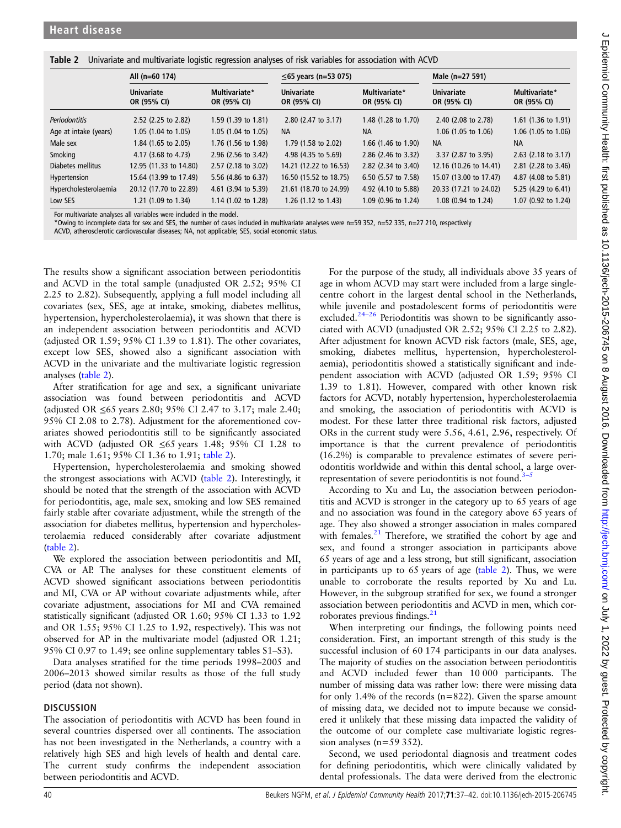<span id="page-3-0"></span>Table 2 Univariate and multivariate logistic regression analyses of risk variables for association with ACVD

|                       | All (n=60 174)                   |                                | ≤65 years (n=53 075)             |                              | Male (n=27 591)                  |                                |
|-----------------------|----------------------------------|--------------------------------|----------------------------------|------------------------------|----------------------------------|--------------------------------|
|                       | <b>Univariate</b><br>OR (95% CI) | Multivariate*<br>OR (95% CI)   | <b>Univariate</b><br>OR (95% CI) | Multivariate*<br>OR (95% CI) | <b>Univariate</b><br>OR (95% CI) | Multivariate*<br>OR (95% CI)   |
| <b>Periodontitis</b>  | 2.52 (2.25 to 2.82)              | 1.59 $(1.39 \text{ to } 1.81)$ | 2.80 (2.47 to 3.17)              | 1.48 (1.28 to 1.70)          | 2.40 (2.08 to 2.78)              | 1.61 $(1.36 \text{ to } 1.91)$ |
| Age at intake (years) | 1.05 (1.04 to 1.05)              | $1.05$ (1.04 to 1.05)          | <b>NA</b>                        | <b>NA</b>                    | 1.06 (1.05 to 1.06)              | 1.06 (1.05 to 1.06)            |
| Male sex              | 1.84 (1.65 to 2.05)              | 1.76 (1.56 to 1.98)            | 1.79 (1.58 to 2.02)              | 1.66 (1.46 to 1.90)          | <b>NA</b>                        | <b>NA</b>                      |
| Smoking               | 4.17 (3.68 to 4.73)              | 2.96 (2.56 to 3.42)            | 4.98 (4.35 to 5.69)              | 2.86 (2.46 to 3.32)          | 3.37 (2.87 to 3.95)              | $2.63$ (2.18 to 3.17)          |
| Diabetes mellitus     | 12.95 (11.33 to 14.80)           | $2.57$ (2.18 to 3.02)          | 14.21 (12.22 to 16.53)           | 2.82 (2.34 to 3.40)          | 12.16 (10.26 to 14.41)           | 2.81 (2.28 to 3.46)            |
| Hypertension          | 15.64 (13.99 to 17.49)           | 5.56 (4.86 to 6.37)            | 16.50 (15.52 to 18.75)           | 6.50 (5.57 to 7.58)          | 15.07 (13.00 to 17.47)           | 4.87 (4.08 to 5.81)            |
| Hypercholesterolaemia | 20.12 (17.70 to 22.89)           | 4.61 (3.94 to 5.39)            | 21.61 (18.70 to 24.99)           | 4.92 (4.10 to 5.88)          | 20.33 (17.21 to 24.02)           | 5.25 (4.29 to 6.41)            |
| Low SES               | 1.21 (1.09 to 1.34)              | 1.14 (1.02 to 1.28)            | 1.26 (1.12 to 1.43)              | 1.09 (0.96 to 1.24)          | 1.08 (0.94 to 1.24)              | 1.07 (0.92 to 1.24)            |

For multivariate analyses all variables were included in the model.

\*Owing to incomplete data for sex and SES, the number of cases included in multivariate analyses were n=59 352, n=52 335, n=27 210, respectively

ACVD, atherosclerotic cardiovascular diseases; NA, not applicable; SES, social economic status.

The results show a significant association between periodontitis and ACVD in the total sample (unadjusted OR 2.52; 95% CI 2.25 to 2.82). Subsequently, applying a full model including all covariates (sex, SES, age at intake, smoking, diabetes mellitus, hypertension, hypercholesterolaemia), it was shown that there is an independent association between periodontitis and ACVD (adjusted OR 1.59; 95% CI 1.39 to 1.81). The other covariates, except low SES, showed also a significant association with ACVD in the univariate and the multivariate logistic regression analyses (table 2).

After stratification for age and sex, a significant univariate association was found between periodontitis and ACVD (adjusted OR ≤65 years 2.80; 95% CI 2.47 to 3.17; male 2.40; 95% CI 2.08 to 2.78). Adjustment for the aforementioned covariates showed periodontitis still to be significantly associated with ACVD (adjusted OR  $\leq 65$  years 1.48; 95% CI 1.28 to 1.70; male 1.61; 95% CI 1.36 to 1.91; table 2).

Hypertension, hypercholesterolaemia and smoking showed the strongest associations with ACVD (table 2). Interestingly, it should be noted that the strength of the association with ACVD for periodontitis, age, male sex, smoking and low SES remained fairly stable after covariate adjustment, while the strength of the association for diabetes mellitus, hypertension and hypercholesterolaemia reduced considerably after covariate adjustment (table 2).

We explored the association between periodontitis and MI, CVA or AP. The analyses for these constituent elements of ACVD showed significant associations between periodontitis and MI, CVA or AP without covariate adjustments while, after covariate adjustment, associations for MI and CVA remained statistically significant (adjusted OR 1.60; 95% CI 1.33 to 1.92 and OR 1.55; 95% CI 1.25 to 1.92, respectively). This was not observed for AP in the multivariate model (adjusted OR 1.21; 95% CI 0.97 to 1.49; see online supplementary tables S1–S3).

Data analyses stratified for the time periods 1998–2005 and 2006–2013 showed similar results as those of the full study period (data not shown).

#### **DISCUSSION**

The association of periodontitis with ACVD has been found in several countries dispersed over all continents. The association has not been investigated in the Netherlands, a country with a relatively high SES and high levels of health and dental care. The current study confirms the independent association between periodontitis and ACVD.

For the purpose of the study, all individuals above 35 years of age in whom ACVD may start were included from a large singlecentre cohort in the largest dental school in the Netherlands, while juvenile and postadolescent forms of periodontitis were excluded. $24-26$  $24-26$  Periodontitis was shown to be significantly associated with ACVD (unadjusted OR 2.52; 95% CI 2.25 to 2.82). After adjustment for known ACVD risk factors (male, SES, age, smoking, diabetes mellitus, hypertension, hypercholesterolaemia), periodontitis showed a statistically significant and independent association with ACVD (adjusted OR 1.59; 95% CI 1.39 to 1.81). However, compared with other known risk factors for ACVD, notably hypertension, hypercholesterolaemia and smoking, the association of periodontitis with ACVD is modest. For these latter three traditional risk factors, adjusted ORs in the current study were 5.56, 4.61, 2.96, respectively. Of importance is that the current prevalence of periodontitis (16.2%) is comparable to prevalence estimates of severe periodontitis worldwide and within this dental school, a large overrepresentation of severe periodontitis is not found. $3-5$  $3-5$ 

According to Xu and Lu, the association between periodontitis and ACVD is stronger in the category up to 65 years of age and no association was found in the category above 65 years of age. They also showed a stronger association in males compared with females.<sup>21</sup> Therefore, we stratified the cohort by age and sex, and found a stronger association in participants above 65 years of age and a less strong, but still significant, association in participants up to 65 years of age (table 2). Thus, we were unable to corroborate the results reported by Xu and Lu. However, in the subgroup stratified for sex, we found a stronger association between periodontitis and ACVD in men, which corroborates previous findings. $21$ 

When interpreting our findings, the following points need consideration. First, an important strength of this study is the successful inclusion of 60 174 participants in our data analyses. The majority of studies on the association between periodontitis and ACVD included fewer than 10 000 participants. The number of missing data was rather low: there were missing data for only 1.4% of the records  $(n=822)$ . Given the sparse amount of missing data, we decided not to impute because we considered it unlikely that these missing data impacted the validity of the outcome of our complete case multivariate logistic regression analyses  $(n=59 352)$ .

Second, we used periodontal diagnosis and treatment codes for defining periodontitis, which were clinically validated by dental professionals. The data were derived from the electronic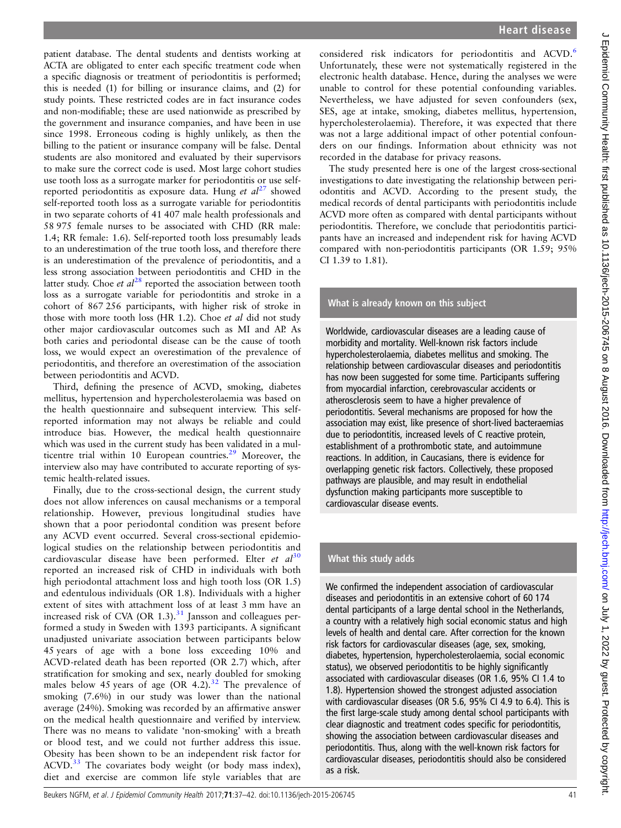patient database. The dental students and dentists working at ACTA are obligated to enter each specific treatment code when a specific diagnosis or treatment of periodontitis is performed; this is needed (1) for billing or insurance claims, and (2) for study points. These restricted codes are in fact insurance codes and non-modifiable; these are used nationwide as prescribed by the government and insurance companies, and have been in use since 1998. Erroneous coding is highly unlikely, as then the billing to the patient or insurance company will be false. Dental students are also monitored and evaluated by their supervisors to make sure the correct code is used. Most large cohort studies use tooth loss as a surrogate marker for periodontitis or use selfreported periodontitis as exposure data. Hung et  $al^{27}$  $al^{27}$  $al^{27}$  showed self-reported tooth loss as a surrogate variable for periodontitis in two separate cohorts of 41 407 male health professionals and 58 975 female nurses to be associated with CHD (RR male: 1.4; RR female: 1.6). Self-reported tooth loss presumably leads to an underestimation of the true tooth loss, and therefore there is an underestimation of the prevalence of periodontitis, and a less strong association between periodontitis and CHD in the latter study. Choe et  $al^{28}$  $al^{28}$  $al^{28}$  reported the association between tooth loss as a surrogate variable for periodontitis and stroke in a cohort of 867 256 participants, with higher risk of stroke in those with more tooth loss (HR 1.2). Choe et al did not study other major cardiovascular outcomes such as MI and AP. As both caries and periodontal disease can be the cause of tooth loss, we would expect an overestimation of the prevalence of periodontitis, and therefore an overestimation of the association between periodontitis and ACVD.

Third, defining the presence of ACVD, smoking, diabetes mellitus, hypertension and hypercholesterolaemia was based on the health questionnaire and subsequent interview. This selfreported information may not always be reliable and could introduce bias. However, the medical health questionnaire which was used in the current study has been validated in a multicentre trial within 10 European countries.<sup>29</sup> Moreover, the interview also may have contributed to accurate reporting of systemic health-related issues.

Finally, due to the cross-sectional design, the current study does not allow inferences on causal mechanisms or a temporal relationship. However, previous longitudinal studies have shown that a poor periodontal condition was present before any ACVD event occurred. Several cross-sectional epidemiological studies on the relationship between periodontitis and cardiovascular disease have been performed. Elter et  $al^{30}$  $al^{30}$  $al^{30}$ reported an increased risk of CHD in individuals with both high periodontal attachment loss and high tooth loss (OR 1.5) and edentulous individuals (OR 1.8). Individuals with a higher extent of sites with attachment loss of at least 3 mm have an increased risk of CVA (OR 1.3). $31$  Jansson and colleagues performed a study in Sweden with 1393 participants. A significant unadjusted univariate association between participants below 45 years of age with a bone loss exceeding 10% and ACVD-related death has been reported (OR 2.7) which, after stratification for smoking and sex, nearly doubled for smoking males below 45 years of age  $(OR 4.2).^{32}$  $(OR 4.2).^{32}$  $(OR 4.2).^{32}$  The prevalence of smoking (7.6%) in our study was lower than the national average (24%). Smoking was recorded by an affirmative answer on the medical health questionnaire and verified by interview. There was no means to validate 'non-smoking' with a breath or blood test, and we could not further address this issue. Obesity has been shown to be an independent risk factor for ACVD.<sup>[33](#page-5-0)</sup> The covariates body weight (or body mass index), diet and exercise are common life style variables that are

The study presented here is one of the largest cross-sectional investigations to date investigating the relationship between periodontitis and ACVD. According to the present study, the medical records of dental participants with periodontitis include ACVD more often as compared with dental participants without periodontitis. Therefore, we conclude that periodontitis participants have an increased and independent risk for having ACVD compared with non-periodontitis participants (OR 1.59; 95% CI 1.39 to 1.81).

# What is already known on this subject

Worldwide, cardiovascular diseases are a leading cause of morbidity and mortality. Well-known risk factors include hypercholesterolaemia, diabetes mellitus and smoking. The relationship between cardiovascular diseases and periodontitis has now been suggested for some time. Participants suffering from myocardial infarction, cerebrovascular accidents or atherosclerosis seem to have a higher prevalence of periodontitis. Several mechanisms are proposed for how the association may exist, like presence of short-lived bacteraemias due to periodontitis, increased levels of C reactive protein, establishment of a prothrombotic state, and autoimmune reactions. In addition, in Caucasians, there is evidence for overlapping genetic risk factors. Collectively, these proposed pathways are plausible, and may result in endothelial dysfunction making participants more susceptible to cardiovascular disease events.

# What this study adds

We confirmed the independent association of cardiovascular diseases and periodontitis in an extensive cohort of 60 174 dental participants of a large dental school in the Netherlands, a country with a relatively high social economic status and high levels of health and dental care. After correction for the known risk factors for cardiovascular diseases (age, sex, smoking, diabetes, hypertension, hypercholesterolaemia, social economic status), we observed periodontitis to be highly significantly associated with cardiovascular diseases (OR 1.6, 95% CI 1.4 to 1.8). Hypertension showed the strongest adjusted association with cardiovascular diseases (OR 5.6, 95% CI 4.9 to 6.4). This is the first large-scale study among dental school participants with clear diagnostic and treatment codes specific for periodontitis, showing the association between cardiovascular diseases and periodontitis. Thus, along with the well-known risk factors for cardiovascular diseases, periodontitis should also be considered as a risk.

J Epidemiol Community Health: first published as 10.1136/jech-2015-206745 on 8 August 2016. Downloaded from http://jech.bmj.com/ on July 1, 2022 by guest. Protected by copyright J Epidemiol Community Health: first published as 10.1136/jech-2015-206745 on 8 August 2016. Downloaded from <http://jech.bmj.com/> on July 1, 2022 by guest. Protected by copyright.